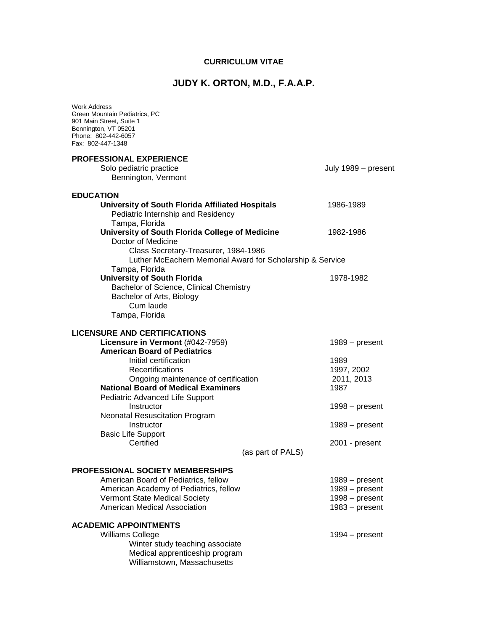## **CURRICULUM VITAE**

## **JUDY K. ORTON, M.D., F.A.A.P.**

| <b>Work Address</b><br>Green Mountain Pediatrics, PC<br>901 Main Street, Suite 1<br>Bennington, VT 05201<br>Phone: 802-442-6057<br>Fax: 802-447-1348                                                                                                                                                                                                                                                                     |                                                                                                                        |
|--------------------------------------------------------------------------------------------------------------------------------------------------------------------------------------------------------------------------------------------------------------------------------------------------------------------------------------------------------------------------------------------------------------------------|------------------------------------------------------------------------------------------------------------------------|
| PROFESSIONAL EXPERIENCE<br>Solo pediatric practice<br>Bennington, Vermont                                                                                                                                                                                                                                                                                                                                                | July 1989 – present                                                                                                    |
| <b>EDUCATION</b><br>University of South Florida Affiliated Hospitals<br>Pediatric Internship and Residency<br>Tampa, Florida                                                                                                                                                                                                                                                                                             | 1986-1989                                                                                                              |
| University of South Florida College of Medicine<br>Doctor of Medicine<br>Class Secretary-Treasurer, 1984-1986                                                                                                                                                                                                                                                                                                            | 1982-1986                                                                                                              |
| Luther McEachern Memorial Award for Scholarship & Service                                                                                                                                                                                                                                                                                                                                                                |                                                                                                                        |
| Tampa, Florida<br><b>University of South Florida</b><br>Bachelor of Science, Clinical Chemistry<br>Bachelor of Arts, Biology<br>Cum laude                                                                                                                                                                                                                                                                                | 1978-1982                                                                                                              |
| Tampa, Florida                                                                                                                                                                                                                                                                                                                                                                                                           |                                                                                                                        |
| <b>LICENSURE AND CERTIFICATIONS</b><br>Licensure in Vermont (#042-7959)<br><b>American Board of Pediatrics</b><br>Initial certification<br>Recertifications<br>Ongoing maintenance of certification<br><b>National Board of Medical Examiners</b><br>Pediatric Advanced Life Support<br>Instructor<br><b>Neonatal Resuscitation Program</b><br>Instructor<br><b>Basic Life Support</b><br>Certified<br>(as part of PALS) | $1989 - present$<br>1989<br>1997, 2002<br>2011, 2013<br>1987<br>$1998 - present$<br>$1989 - present$<br>2001 - present |
| <b>PROFESSIONAL SOCIETY MEMBERSHIPS</b>                                                                                                                                                                                                                                                                                                                                                                                  |                                                                                                                        |
| American Board of Pediatrics, fellow<br>American Academy of Pediatrics, fellow                                                                                                                                                                                                                                                                                                                                           | $1989 - present$<br>$1989 - present$                                                                                   |
| <b>Vermont State Medical Society</b>                                                                                                                                                                                                                                                                                                                                                                                     | $1998 - present$                                                                                                       |
| American Medical Association                                                                                                                                                                                                                                                                                                                                                                                             | $1983 - present$                                                                                                       |
| <b>ACADEMIC APPOINTMENTS</b><br><b>Williams College</b><br>Winter study teaching associate<br>Medical apprenticeship program<br>Williamstown, Massachusetts                                                                                                                                                                                                                                                              | $1994 - present$                                                                                                       |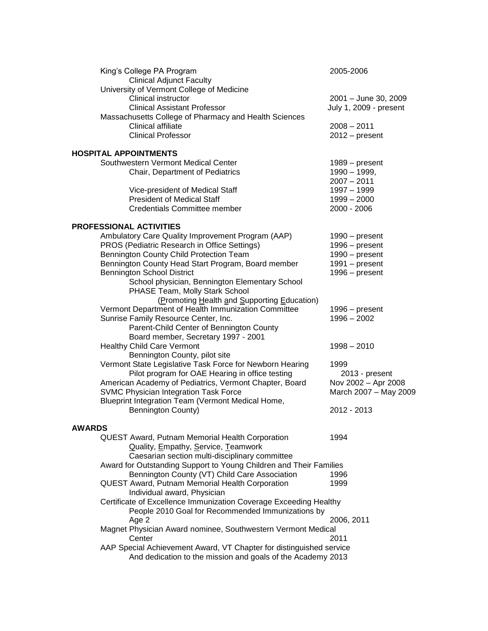| King's College PA Program<br><b>Clinical Adjunct Faculty</b>        | 2005-2006              |  |
|---------------------------------------------------------------------|------------------------|--|
| University of Vermont College of Medicine                           |                        |  |
| Clinical instructor                                                 | 2001 - June 30, 2009   |  |
| <b>Clinical Assistant Professor</b>                                 | July 1, 2009 - present |  |
| Massachusetts College of Pharmacy and Health Sciences               |                        |  |
| Clinical affiliate                                                  | $2008 - 2011$          |  |
| <b>Clinical Professor</b>                                           | $2012 - present$       |  |
| <b>HOSPITAL APPOINTMENTS</b>                                        |                        |  |
| Southwestern Vermont Medical Center                                 | $1989 - present$       |  |
| Chair, Department of Pediatrics                                     | 1990 - 1999,           |  |
|                                                                     | $2007 - 2011$          |  |
| Vice-president of Medical Staff                                     | 1997 - 1999            |  |
| <b>President of Medical Staff</b>                                   | $1999 - 2000$          |  |
| <b>Credentials Committee member</b>                                 | 2000 - 2006            |  |
| <b>PROFESSIONAL ACTIVITIES</b>                                      |                        |  |
| Ambulatory Care Quality Improvement Program (AAP)                   | 1990 - present         |  |
| PROS (Pediatric Research in Office Settings)                        | $1996 - present$       |  |
| Bennington County Child Protection Team                             | $1990 - present$       |  |
| Bennington County Head Start Program, Board member                  | 1991 - present         |  |
| <b>Bennington School District</b>                                   | $1996 - present$       |  |
| School physician, Bennington Elementary School                      |                        |  |
| PHASE Team, Molly Stark School                                      |                        |  |
| (Promoting Health and Supporting Education)                         |                        |  |
| Vermont Department of Health Immunization Committee                 | 1996 – present         |  |
| Sunrise Family Resource Center, Inc.                                | $1996 - 2002$          |  |
| Parent-Child Center of Bennington County                            |                        |  |
| Board member, Secretary 1997 - 2001                                 |                        |  |
| <b>Healthy Child Care Vermont</b>                                   | $1998 - 2010$          |  |
| Bennington County, pilot site                                       |                        |  |
| Vermont State Legislative Task Force for Newborn Hearing            | 1999                   |  |
| Pilot program for OAE Hearing in office testing                     | 2013 - present         |  |
| American Academy of Pediatrics, Vermont Chapter, Board              | Nov 2002 - Apr 2008    |  |
| SVMC Physician Integration Task Force                               | March 2007 - May 2009  |  |
| Blueprint Integration Team (Vermont Medical Home,                   |                        |  |
| Bennington County)                                                  | 2012 - 2013            |  |
| <b>AWARDS</b>                                                       |                        |  |
| QUEST Award, Putnam Memorial Health Corporation                     | 1994                   |  |
| Quality, Empathy, Service, Teamwork                                 |                        |  |
| Caesarian section multi-disciplinary committee                      |                        |  |
| Award for Outstanding Support to Young Children and Their Families  |                        |  |
| Bennington County (VT) Child Care Association                       | 1996                   |  |
| <b>QUEST Award, Putnam Memorial Health Corporation</b>              | 1999                   |  |
| Individual award, Physician                                         |                        |  |
| Certificate of Excellence Immunization Coverage Exceeding Healthy   |                        |  |
| People 2010 Goal for Recommended Immunizations by                   |                        |  |
| Age 2                                                               | 2006, 2011             |  |
| Magnet Physician Award nominee, Southwestern Vermont Medical        |                        |  |
| Center                                                              | 2011                   |  |
| AAP Special Achievement Award, VT Chapter for distinguished service |                        |  |
| And dedication to the mission and goals of the Academy 2013         |                        |  |